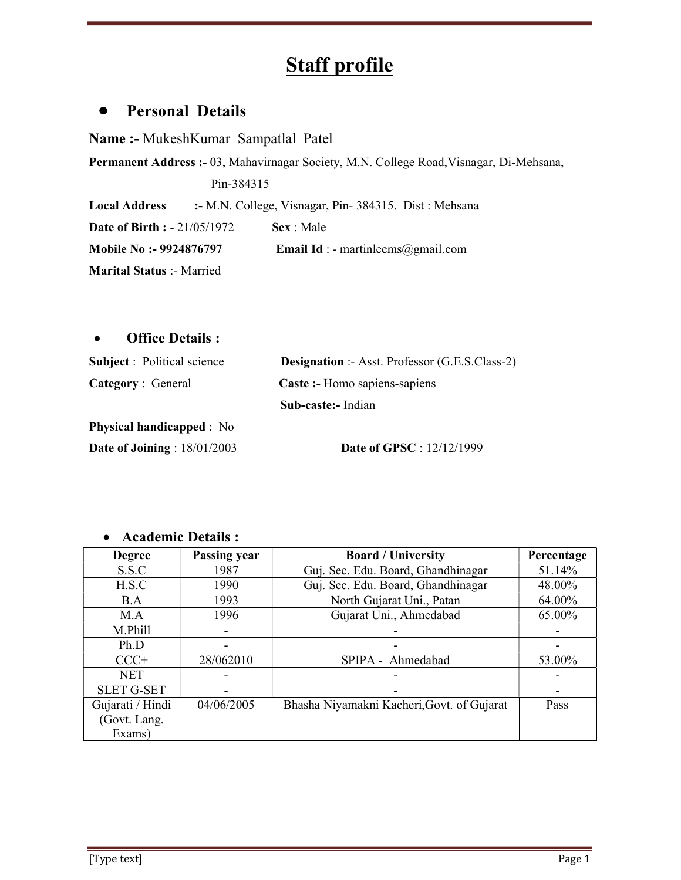# Staff profile

# Personal Details

Name :- MukeshKumar Sampatlal Patel

Permanent Address :- 03, Mahavirnagar Society, M.N. College Road,Visnagar, Di-Mehsana, Pin-384315

Local Address :- M.N. College, Visnagar, Pin- 384315. Dist : Mehsana

**Date of Birth : - 21/05/1972 Sex : Male** 

Mobile No :- 9924876797 Email Id : - martinleems@gmail.com

Marital Status :- Married

#### Office Details :

| <b>Subject</b> : Political science | <b>Designation</b> :- Asst. Professor (G.E.S.Class-2) |  |
|------------------------------------|-------------------------------------------------------|--|
| <b>Category</b> : General          | Caste :- Homo sapiens-sapiens                         |  |
|                                    | Sub-caste: Indian                                     |  |
| <b>Physical handicapped</b> : No   |                                                       |  |
| Date of Joining : $18/01/2003$     | <b>Date of GPSC</b> : 12/12/1999                      |  |

| <b>Degree</b>     | Passing year | <b>Board / University</b>                  | Percentage |
|-------------------|--------------|--------------------------------------------|------------|
| S.S.C             | 1987         | Guj. Sec. Edu. Board, Ghandhinagar         | 51.14%     |
| H.S.C             | 1990         | Guj. Sec. Edu. Board, Ghandhinagar         | 48.00%     |
| B.A               | 1993         | North Gujarat Uni., Patan                  | 64.00%     |
| M.A               | 1996         | Gujarat Uni., Ahmedabad                    | 65.00%     |
| M.Phill           |              |                                            |            |
| Ph.D              |              |                                            |            |
| $CCC+$            | 28/062010    | SPIPA - Ahmedabad                          | 53.00%     |
| <b>NET</b>        |              |                                            |            |
| <b>SLET G-SET</b> |              |                                            |            |
| Gujarati / Hindi  | 04/06/2005   | Bhasha Niyamakni Kacheri, Govt. of Gujarat | Pass       |
| (Govt. Lang.      |              |                                            |            |
| Exams)            |              |                                            |            |

#### Academic Details :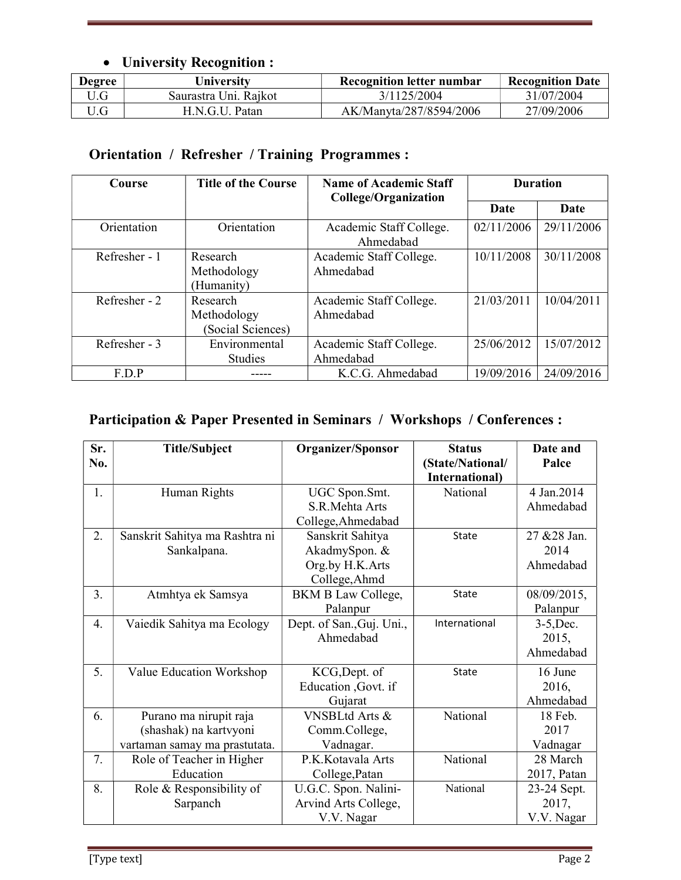## University Recognition :

| <b>Degree</b> | University            | <b>Recognition letter numbar</b> | <b>Recognition Date</b> |
|---------------|-----------------------|----------------------------------|-------------------------|
| 'J.G          | Saurastra Uni. Rajkot | 3/1125/2004                      | 31/07/2004              |
| 'J.G          | H.N.G.U. Patan        | AK/Manyta/287/8594/2006          | 27/09/2006              |

# Orientation / Refresher / Training Programmes :

| Course        | <b>Title of the Course</b>                   | <b>Name of Academic Staff</b><br><b>College/Organization</b> | <b>Duration</b> |            |
|---------------|----------------------------------------------|--------------------------------------------------------------|-----------------|------------|
|               |                                              |                                                              | Date            | Date       |
| Orientation   | Orientation                                  | Academic Staff College.<br>Ahmedabad                         | 02/11/2006      | 29/11/2006 |
| Refresher - 1 | Research<br>Methodology<br>(Humanity)        | Academic Staff College.<br>Ahmedabad                         | 10/11/2008      | 30/11/2008 |
| Refresher - 2 | Research<br>Methodology<br>(Social Sciences) | Academic Staff College.<br>Ahmedabad                         | 21/03/2011      | 10/04/2011 |
| Refresher - 3 | Environmental<br><b>Studies</b>              | Academic Staff College.<br>Ahmedabad                         | 25/06/2012      | 15/07/2012 |
| F.D.P         |                                              | K.C.G. Ahmedabad                                             | 19/09/2016      | 24/09/2016 |

# Participation & Paper Presented in Seminars / Workshops / Conferences :

| Sr.<br>No. | <b>Title/Subject</b>           | Organizer/Sponsor         | <b>Status</b><br>(State/National/ | Date and<br>Palce |
|------------|--------------------------------|---------------------------|-----------------------------------|-------------------|
|            |                                |                           | International)                    |                   |
| 1.         | Human Rights                   | UGC Spon.Smt.             | National                          | 4 Jan.2014        |
|            |                                | S.R.Mehta Arts            |                                   | Ahmedabad         |
|            |                                | College, Ahmedabad        |                                   |                   |
| 2.         | Sanskrit Sahitya ma Rashtra ni | Sanskrit Sahitya          | State                             | 27 & 28 Jan.      |
|            | Sankalpana.                    | AkadmySpon. &             |                                   | 2014              |
|            |                                | Org.by H.K.Arts           |                                   | Ahmedabad         |
|            |                                | College, Ahmd             |                                   |                   |
| 3.         | Atmhtya ek Samsya              | <b>BKM B Law College,</b> | <b>State</b>                      | 08/09/2015,       |
|            |                                | Palanpur                  |                                   | Palanpur          |
| 4.         | Vaiedik Sahitya ma Ecology     | Dept. of San., Guj. Uni., | International                     | $3-5$ , Dec.      |
|            |                                | Ahmedabad                 |                                   | 2015,             |
|            |                                |                           |                                   | Ahmedabad         |
| 5.         | Value Education Workshop       | KCG, Dept. of             | <b>State</b>                      | 16 June           |
|            |                                | Education , Govt. if      |                                   | 2016,             |
|            |                                | Gujarat                   |                                   | Ahmedabad         |
| 6.         | Purano ma nirupit raja         | VNSBLtd Arts &            | National                          | 18 Feb.           |
|            | (shashak) na kartvyoni         | Comm.College,             |                                   | 2017              |
|            | vartaman samay ma prastutata.  | Vadnagar.                 |                                   | Vadnagar          |
| 7.         | Role of Teacher in Higher      | P.K. Kotavala Arts        | National                          | 28 March          |
|            | Education                      | College, Patan            |                                   | 2017, Patan       |
| 8.         | Role & Responsibility of       | U.G.C. Spon. Nalini-      | National                          | 23-24 Sept.       |
|            | Sarpanch                       | Arvind Arts College,      |                                   | 2017,             |
|            |                                | V.V. Nagar                |                                   | V.V. Nagar        |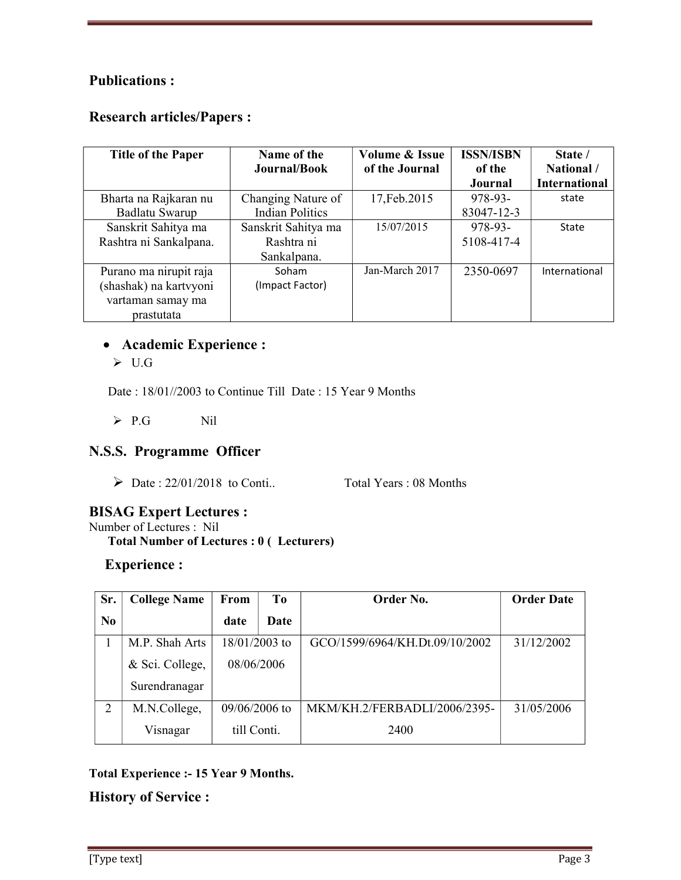### Publications :

#### Research articles/Papers :

| <b>Title of the Paper</b> | Name of the<br>Journal/Book | Volume & Issue<br>of the Journal | <b>ISSN/ISBN</b><br>of the | State /<br>National / |
|---------------------------|-----------------------------|----------------------------------|----------------------------|-----------------------|
|                           |                             |                                  | <b>Journal</b>             | <b>International</b>  |
| Bharta na Rajkaran nu     | Changing Nature of          | 17, Feb. 2015                    | 978-93-                    | state                 |
| Badlatu Swarup            | <b>Indian Politics</b>      |                                  | 83047-12-3                 |                       |
| Sanskrit Sahitya ma       | Sanskrit Sahitya ma         | 15/07/2015                       | 978-93-                    | State                 |
| Rashtra ni Sankalpana.    | Rashtra ni                  |                                  | 5108-417-4                 |                       |
|                           | Sankalpana.                 |                                  |                            |                       |
| Purano ma nirupit raja    | Soham                       | Jan-March 2017                   | 2350-0697                  | International         |
| (shashak) na kartvyoni    | (Impact Factor)             |                                  |                            |                       |
| vartaman samay ma         |                             |                                  |                            |                       |
| prastutata                |                             |                                  |                            |                       |

#### Academic Experience :

 $\triangleright$  U.G

Date : 18/01//2003 to Continue Till Date : 15 Year 9 Months

P.G Nil

### N.S.S. Programme Officer

 $\triangleright$  Date : 22/01/2018 to Conti.. Total Years : 08 Months

### BISAG Expert Lectures :

Number of Lectures : Nil

Total Number of Lectures : 0 ( Lecturers)

## Experience :

| Sr.            | <b>College Name</b> | From            | T <sub>0</sub> | Order No.                      | <b>Order Date</b> |
|----------------|---------------------|-----------------|----------------|--------------------------------|-------------------|
| N <sub>0</sub> |                     | date            | Date           |                                |                   |
|                | M.P. Shah Arts      | 18/01/2003 to   |                | GCO/1599/6964/KH.Dt.09/10/2002 | 31/12/2002        |
|                | & Sci. College,     | 08/06/2006      |                |                                |                   |
|                | Surendranagar       |                 |                |                                |                   |
| 2              | M.N.College,        | $09/06/2006$ to |                | MKM/KH.2/FERBADLI/2006/2395-   | 31/05/2006        |
|                | Visnagar            | till Conti.     |                | 2400                           |                   |

#### Total Experience :- 15 Year 9 Months.

History of Service :